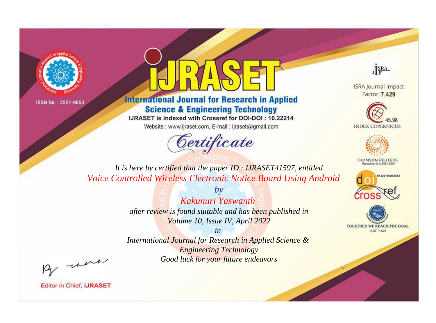



**International Journal for Research in Applied Science & Engineering Technology** 

IJRASET is indexed with Crossref for DOI-DOI: 10.22214

Website: www.ijraset.com, E-mail: ijraset@gmail.com



JERA

**ISRA Journal Impact** Factor: 7.429





**THOMSON REUTERS** 



TOGETHER WE REACH THE GOAL **SJIF 7.429** 

*It is here by certified that the paper ID : IJRASET41597, entitled Voice Controlled Wireless Electronic Notice Board Using Android*

> *Kakunuri Yaswanth after review is found suitable and has been published in*

*by*

*Volume 10, Issue IV, April 2022*

*in* 

*International Journal for Research in Applied Science & Engineering Technology Good luck for your future endeavors*

By morn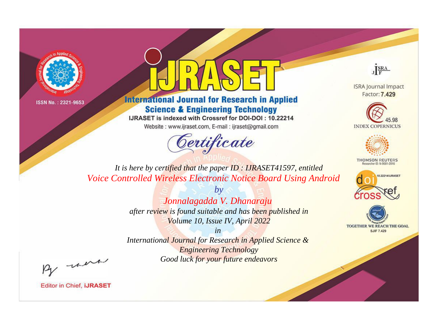



**International Journal for Research in Applied Science & Engineering Technology** 

IJRASET is indexed with Crossref for DOI-DOI: 10.22214

Website: www.ijraset.com, E-mail: ijraset@gmail.com



JERA

**ISRA Journal Impact** Factor: 7.429





**THOMSON REUTERS** 



TOGETHER WE REACH THE GOAL **SJIF 7.429** 

*It is here by certified that the paper ID : IJRASET41597, entitled Voice Controlled Wireless Electronic Notice Board Using Android*

> *by Jonnalagadda V. Dhanaraju after review is found suitable and has been published in Volume 10, Issue IV, April 2022*

> > *in*

*International Journal for Research in Applied Science & Engineering Technology Good luck for your future endeavors*

By morn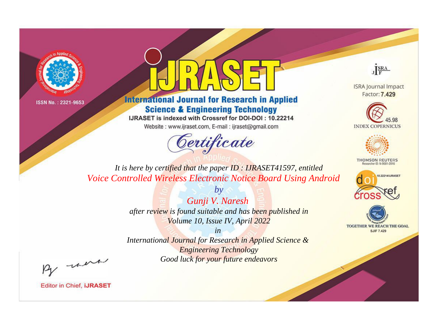



**International Journal for Research in Applied Science & Engineering Technology** 

IJRASET is indexed with Crossref for DOI-DOI: 10.22214

Website: www.ijraset.com, E-mail: ijraset@gmail.com



JERA

**ISRA Journal Impact** Factor: 7.429





**THOMSON REUTERS** 



TOGETHER WE REACH THE GOAL **SJIF 7.429** 

*It is here by certified that the paper ID : IJRASET41597, entitled Voice Controlled Wireless Electronic Notice Board Using Android*

> *Gunji V. Naresh after review is found suitable and has been published in Volume 10, Issue IV, April 2022*

*by*

*in* 

*International Journal for Research in Applied Science & Engineering Technology Good luck for your future endeavors*

By morn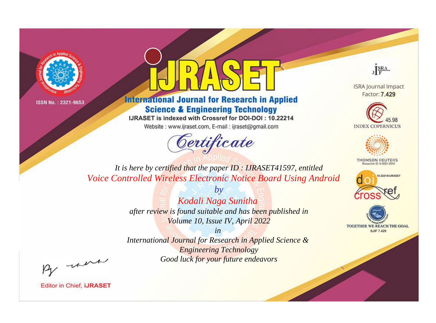



**International Journal for Research in Applied Science & Engineering Technology** 

IJRASET is indexed with Crossref for DOI-DOI: 10.22214

Website: www.ijraset.com, E-mail: ijraset@gmail.com



JERA

**ISRA Journal Impact** Factor: 7.429





**THOMSON REUTERS** 



TOGETHER WE REACH THE GOAL **SJIF 7.429** 

*It is here by certified that the paper ID : IJRASET41597, entitled Voice Controlled Wireless Electronic Notice Board Using Android*

> *by Kodali Naga Sunitha after review is found suitable and has been published in Volume 10, Issue IV, April 2022*

> > *in*

*International Journal for Research in Applied Science & Engineering Technology Good luck for your future endeavors*

By morn